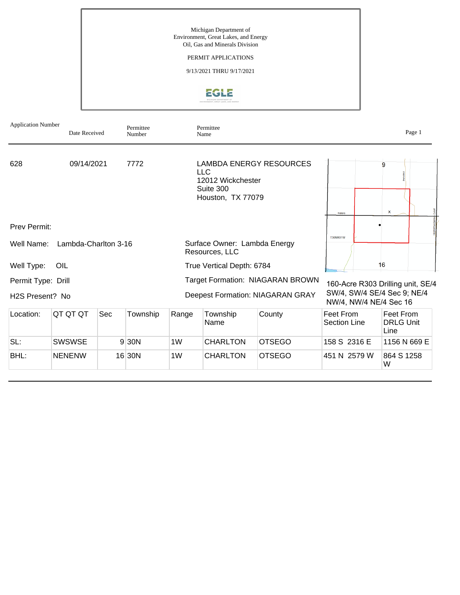## PERMIT APPLICATIONS

9/13/2021 THRU 9/17/2021



| <b>Application Number</b>    | Date Received        |     | Permittee<br>Number |                | Permittee<br>Name                                                 |                                  |                             | Page 1                                |
|------------------------------|----------------------|-----|---------------------|----------------|-------------------------------------------------------------------|----------------------------------|-----------------------------|---------------------------------------|
| 628                          | 09/14/2021           |     | 7772                |                | <b>LLC</b><br>12012 Wickchester<br>Suite 300<br>Houston, TX 77079 | <b>LAMBDA ENERGY RESOURCES</b>   | Waters                      | 9<br>$\mathsf{x}$                     |
| Prev Permit:                 |                      |     |                     |                |                                                                   |                                  |                             |                                       |
| Well Name:                   | Lambda-Charlton 3-16 |     |                     |                | Surface Owner: Lambda Energy<br>Resources, LLC                    | <b>T30NR01W</b>                  |                             |                                       |
| Well Type:                   | OIL                  |     |                     |                | True Vertical Depth: 6784                                         |                                  |                             | 16                                    |
| Permit Type: Drill           |                      |     |                     |                |                                                                   | Target Formation: NIAGARAN BROWN |                             | 160-Acre R303 Drilling unit, SE/4     |
| H <sub>2</sub> S Present? No |                      |     |                     |                | <b>Deepest Formation: NIAGARAN GRAY</b>                           | NW/4, NW/4 NE/4 Sec 16           | SW/4, SW/4 SE/4 Sec 9; NE/4 |                                       |
| Location:                    | QT QT QT             | Sec | Township            | Range          | Township<br>Name                                                  | County                           | Feet From<br>Section Line   | Feet From<br><b>DRLG Unit</b><br>Line |
| SL:                          | <b>SWSWSE</b>        |     | 9 30N               | 1W             | <b>CHARLTON</b>                                                   | <b>OTSEGO</b>                    | 158 S 2316 E                | 1156 N 669 E                          |
| BHL:                         | <b>NENENW</b>        |     | 16 30N              | 1 <sub>W</sub> | <b>CHARLTON</b>                                                   | <b>OTSEGO</b>                    | 451 N 2579 W                | 864 S 1258<br>W                       |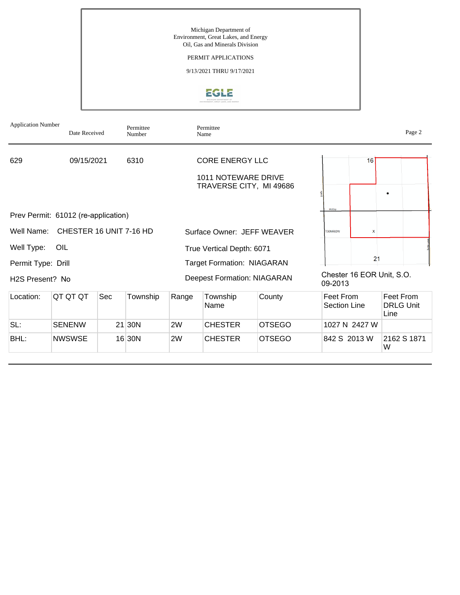## PERMIT APPLICATIONS

9/13/2021 THRU 9/17/2021



| <b>Application Number</b>    | Date Received                       |     | Permittee<br>Number |                                    | Permittee<br>Name                              |               |                                      |    | Page 2                                |
|------------------------------|-------------------------------------|-----|---------------------|------------------------------------|------------------------------------------------|---------------|--------------------------------------|----|---------------------------------------|
| 629                          | 09/15/2021                          |     | 6310                |                                    | <b>CORE ENERGY LLC</b>                         |               |                                      | 16 |                                       |
|                              |                                     |     |                     |                                    | 1011 NOTEWARE DRIVE<br>TRAVERSE CITY, MI 49686 |               |                                      |    |                                       |
|                              | Prev Permit: 61012 (re-application) |     |                     |                                    |                                                |               | McCoy                                |    |                                       |
| Well Name:                   | CHESTER 16 UNIT 7-16 HD             |     |                     |                                    | Surface Owner: JEFF WEAVER                     |               | <b>T30NR02W</b>                      | x  |                                       |
| Well Type:                   | <b>OIL</b>                          |     |                     |                                    | True Vertical Depth: 6071                      |               |                                      |    |                                       |
| Permit Type: Drill           |                                     |     |                     |                                    | <b>Target Formation: NIAGARAN</b>              |               |                                      | 21 |                                       |
| H <sub>2</sub> S Present? No |                                     |     |                     | <b>Deepest Formation: NIAGARAN</b> |                                                |               | Chester 16 EOR Unit, S.O.<br>09-2013 |    |                                       |
| Location:                    | QT QT QT                            | Sec | Township            | Range                              | Township<br>Name                               | County        | Feet From<br><b>Section Line</b>     |    | Feet From<br><b>DRLG Unit</b><br>Line |
| SL:                          | <b>SENENW</b>                       |     | 21 30N              | 2W                                 | <b>CHESTER</b>                                 | <b>OTSEGO</b> | 1027 N 2427 W                        |    |                                       |
| BHL:                         | <b>NWSWSE</b>                       |     | 16 30N              | 2W                                 | <b>CHESTER</b>                                 | <b>OTSEGO</b> | 842 S 2013 W                         |    | 2162 S 1871<br>W                      |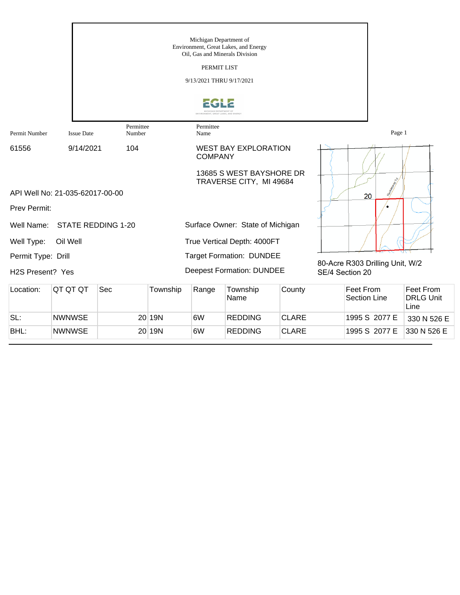|                               |                                 |                     |          | Michigan Department of<br>Oil, Gas and Minerals Division<br>PERMIT LIST<br>9/13/2021 THRU 9/17/2021 | Environment, Great Lakes, and Energy                |        |                                                    |        |                          |
|-------------------------------|---------------------------------|---------------------|----------|-----------------------------------------------------------------------------------------------------|-----------------------------------------------------|--------|----------------------------------------------------|--------|--------------------------|
|                               |                                 |                     |          |                                                                                                     |                                                     |        |                                                    |        |                          |
| Permit Number                 | <b>Issue Date</b>               | Permittee<br>Number |          | Permittee<br>Name                                                                                   |                                                     |        |                                                    | Page 1 |                          |
| 61556                         | 9/14/2021                       | 104                 |          | <b>COMPANY</b>                                                                                      | <b>WEST BAY EXPLORATION</b>                         |        |                                                    |        |                          |
|                               | API Well No: 21-035-62017-00-00 |                     |          |                                                                                                     | 13685 S WEST BAYSHORE DR<br>TRAVERSE CITY, MI 49684 |        |                                                    |        |                          |
| Prev Permit:                  |                                 |                     |          |                                                                                                     |                                                     |        |                                                    | 20     |                          |
| Well Name:                    | STATE REDDING 1-20              |                     |          |                                                                                                     | Surface Owner: State of Michigan                    |        |                                                    |        |                          |
| Well Type:                    | Oil Well                        |                     |          |                                                                                                     | True Vertical Depth: 4000FT                         |        |                                                    |        |                          |
| Permit Type: Drill            |                                 |                     |          |                                                                                                     | <b>Target Formation: DUNDEE</b>                     |        |                                                    |        |                          |
| H <sub>2</sub> S Present? Yes |                                 |                     |          |                                                                                                     | <b>Deepest Formation: DUNDEE</b>                    |        | 80-Acre R303 Drilling Unit, W/2<br>SE/4 Section 20 |        |                          |
| Location:                     | QT QT QT                        | Sec                 | Township | Range                                                                                               | Township<br>Nomo.                                   | County | <b>Feet From</b><br>Section Line                   |        | Feet From<br>DPI C IInit |

| LUCQUUI. | ושו שו שו     | ৩০৬ | <b>LUWLISHIP</b> | $I$ aliyo | <b>Name</b>    | <b>CUULILY</b> | 1 GC 1 1 1 1 1 1 1<br>Section Line | ו וטוווי<br><b>DRLG Unit</b><br>Line |
|----------|---------------|-----|------------------|-----------|----------------|----------------|------------------------------------|--------------------------------------|
| SL:      | <b>NWNWSE</b> |     | 20 19N           | 6W        | <b>REDDING</b> | <b>CLARE</b>   | 1995 S 2077 E                      | 330 N 526 E                          |
| BHL:     | <b>NWNWSE</b> |     | 20 19N           | 6W        | <b>REDDING</b> | <b>CLARE</b>   | 1995 S 2077 E                      | 1330 N 526 E                         |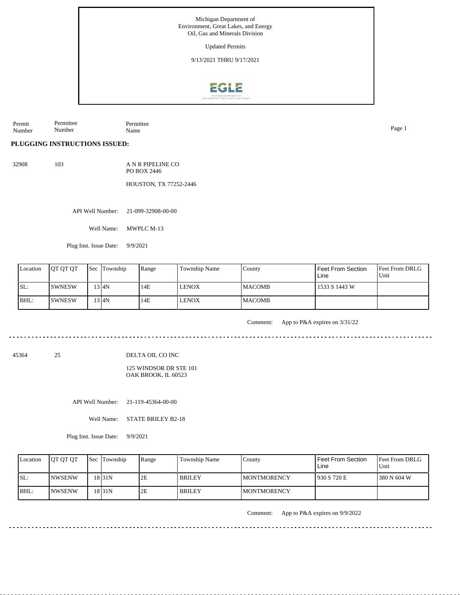Updated Permits

9/13/2021 THRU 9/17/2021



Permit Number Permittee Number Permittee Name Page 1

**PLUGGING INSTRUCTIONS ISSUED:**

32908 103 A N R PIPELINE CO PO BOX 2446

HOUSTON, TX 77252-2446

API Well Number: 21-099-32908-00-00

Well Name: MWPLC M-13

Plug Inst. Issue Date: 9/9/2021

| Location | <b>OT OT OT</b> | <b>Sec Township</b> | Range | Township Name | County         | <b>Feet From Section</b><br>Line | <b>Feet From DRLG</b><br>Unit |
|----------|-----------------|---------------------|-------|---------------|----------------|----------------------------------|-------------------------------|
| SL:      | <b>ISWNESW</b>  | 13 I4N              | 14E   | <b>LENOX</b>  | <b>IMACOMB</b> | 1533 S 1443 W                    |                               |
| BHL:     | ISWNESW         | 13 I4N              | 14E   | <b>LENOX</b>  | <b>MACOMB</b>  |                                  |                               |

Comment: App to P&A expires on 3/31/22

45364 25

DELTA OIL CO INC

125 WINDSOR DR STE 101 OAK BROOK, IL 60523

API Well Number: 21-119-45364-00-00

Well Name: STATE BRILEY B2-18

Plug Inst. Issue Date: 9/9/2021

| Location | <b>IOT OT OT</b> | <b>Sec</b> Township | Range | Township Name | County              | <b>Feet From Section</b><br>Line | Feet From DRLG<br>Unit |
|----------|------------------|---------------------|-------|---------------|---------------------|----------------------------------|------------------------|
| ISL:     | <b>INWSENW</b>   | 18 I 31 N           | 2F    | <b>BRILEY</b> | <b>IMONTMORENCY</b> | 1930 S 720 E                     | 1380 N 604 W           |
| $IBHL$ : | INWSENW          | 18 31 N             | 2F    | <b>BRILEY</b> | <b>IMONTMORENCY</b> |                                  |                        |

Comment: App to P&A expires on 9/9/2022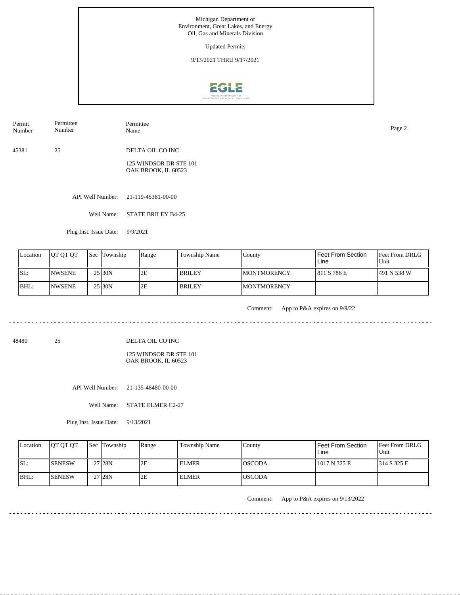Updated Permits

9/13/2021 THRU 9/17/2021



Permit Number Permittee Number Permittee Name Page 2

45381 25 DELTA OIL CO INC

> 125 WINDSOR DR STE 101 OAK BROOK, IL 60523

API Well Number: 21-119-45381-00-00

Well Name: STATE BRILEY B4-25

Plug Inst. Issue Date: 9/9/2021

| Location | <b>IOT OT OT</b> | <b>Sec</b> Township | Range | Township Name | County              | Feet From Section<br>Line | Feet From DRLG<br>Unit |
|----------|------------------|---------------------|-------|---------------|---------------------|---------------------------|------------------------|
| SL:      | <b>INWSENE</b>   | 25 30N              | 2E    | <b>BRILEY</b> | <b>IMONTMORENCY</b> | 811 S 786 E               | 1491 N 538 W           |
| BHL:     | <b>INWSENE</b>   | 25 30N              | 2E    | <b>BRILEY</b> | <b>IMONTMORENCY</b> |                           |                        |

. . . . . . .

Comment: App to P&A expires on 9/9/22

48480 25

DELTA OIL CO INC

125 WINDSOR DR STE 101 OAK BROOK, IL 60523

API Well Number: 21-135-48480-00-00

Well Name: STATE ELMER C2-27

Plug Inst. Issue Date: 9/13/2021

| Location | <b>OT OT OT</b> | <b>Sec</b> Township | Range | Township Name | County        | Feet From Section<br>Line | Feet From DRLG<br>Unit |
|----------|-----------------|---------------------|-------|---------------|---------------|---------------------------|------------------------|
| ISL:     | <b>ISENESW</b>  | 27 28 N             | 2E    | <b>ELMER</b>  | IOSCODA       | 1017 N 325 E              | 1314 S 325 E           |
| BHL:     | <b>ISENESW</b>  | 27 <sub>128N</sub>  | 2E    | <b>ELMER</b>  | <b>OSCODA</b> |                           |                        |

Comment: App to P&A expires on 9/13/2022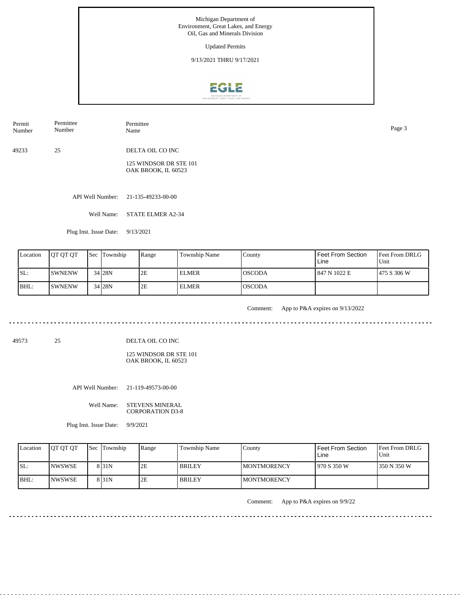Updated Permits

9/13/2021 THRU 9/17/2021



Permit Number Permittee Number Permittee Name Page 3

49233 25 DELTA OIL CO INC

> 125 WINDSOR DR STE 101 OAK BROOK, IL 60523

API Well Number: 21-135-49233-00-00

Well Name: STATE ELMER A2-34

Plug Inst. Issue Date: 9/13/2021

| Location | <b>OT OT OT</b> | <b>Sec</b> Township | Range | Township Name | County          | Feet From Section<br>Line | <b>Feet From DRLG</b><br>Unit |
|----------|-----------------|---------------------|-------|---------------|-----------------|---------------------------|-------------------------------|
| ISL:     | ISWNENW         | 34 28N              | 2E    | <b>ELMER</b>  | <b>IOSCODA</b>  | 1847 N 1022 E             | 1475 S 306 W                  |
| BHL:     | <b>SWNENW</b>   | 34 28N              | 2E    | <b>ELMER</b>  | <b>l</b> OSCODA |                           |                               |

Comment: App to P&A expires on 9/13/2022

49573 25

DELTA OIL CO INC

125 WINDSOR DR STE 101 OAK BROOK, IL 60523

API Well Number: 21-119-49573-00-00

Well Name: STEVENS MINERAL CORPORATION D3-8

Plug Inst. Issue Date: 9/9/2021

| Location | <b>IOT OT OT</b> | <b>Sec</b> Township | Range | <b>Township Name</b> | Countv              | Feet From Section<br>Line | <b>Feet From DRLG</b><br>Unit |
|----------|------------------|---------------------|-------|----------------------|---------------------|---------------------------|-------------------------------|
| ISL:     | <b>INWSWSE</b>   | 8 <sub>31N</sub>    | 2Ε    | <b>BRILEY</b>        | IMONTMORENCY        | l 970 S 350 W             | 1350 N 350 W                  |
| BHL:     | <b>INWSWSE</b>   | 8 <sub>31N</sub>    | 2E    | <b>BRILEY</b>        | <b>IMONTMORENCY</b> |                           |                               |

Comment: App to P&A expires on 9/9/22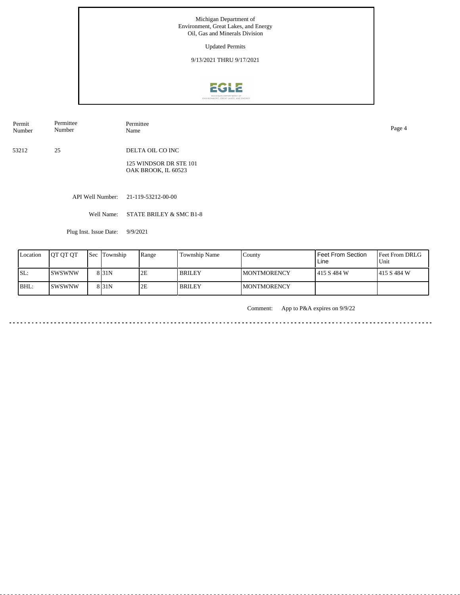Updated Permits

9/13/2021 THRU 9/17/2021



Permit Number Permittee Number Permittee<br>Name

53212 25 DELTA OIL CO INC

> 125 WINDSOR DR STE 101 OAK BROOK, IL 60523

API Well Number: 21-119-53212-00-00

Well Name: STATE BRILEY & SMC B1-8

Plug Inst. Issue Date: 9/9/2021

| Location | <b>IOT OT OT</b> | <b>Sec Township</b> | Range | Township Name | County              | Feet From Section<br>Line | <b>Feet From DRLG</b><br>l Unit |
|----------|------------------|---------------------|-------|---------------|---------------------|---------------------------|---------------------------------|
| SL:      | ISWSWNW          | 8 <sub>131</sub> N  | 2E    | <b>BRILEY</b> | <b>IMONTMORENCY</b> | 415 S 484 W               | 1415 S 484 W                    |
| BHL:     | ISWSWNW          | 8 <sub>31N</sub>    | 2E    | <b>BRILEY</b> | <b>IMONTMORENCY</b> |                           |                                 |

Comment: App to P&A expires on 9/9/22

. . . . . . . . . . . . . . . . . . 

Name Page 4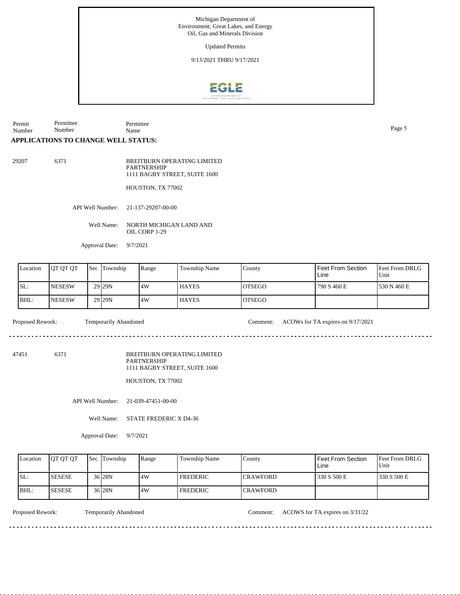Updated Permits

9/13/2021 THRU 9/17/2021



Permit Number Permittee Number Permittee Name Page 5

## **APPLICATIONS TO CHANGE WELL STATUS:**

29207 6371

BREITBURN OPERATING LIMITED **PARTNERSHIP** 1111 BAGBY STREET, SUITE 1600

HOUSTON, TX 77002

API Well Number: 21-137-29207-00-00

Well Name: NORTH MICHIGAN LAND AND OIL CORP 1-29

Approval Date: 9/7/2021

| Location | <b>IOT OT OT</b> | <b>Sec</b> | Township          | Range | Township Name | County         | Feet From Section<br>Line | Feet From DRLG<br>Unit |
|----------|------------------|------------|-------------------|-------|---------------|----------------|---------------------------|------------------------|
| SL:      | <b>NESESW</b>    |            | 29 <sub>29N</sub> | 4W    | <b>HAYES</b>  | IOTSEGO        | 790 S 460 E               | 1530 N 460 E           |
| BHL:     | <b>NESESW</b>    |            | 29 29 N           | 4W    | <b>HAYES</b>  | <b>IOTSEGO</b> |                           |                        |

Proposed Rework: Temporarily Abandoned Comment: ACOWs for TA expires on 9/17/2021

47451 6371

BREITBURN OPERATING LIMITED PARTNERSHIP 1111 BAGBY STREET, SUITE 1600

HOUSTON, TX 77002

API Well Number: 21-039-47451-00-00

Well Name: STATE FREDERIC X D4-36

Approval Date: 9/7/2021

| Location | <b>OT OT OT</b> | <b>Sec Township</b> | Range | <b>Township Name</b> | County           | Feet From Section<br>Line | <b>IFeet From DRLG</b><br>Unit |
|----------|-----------------|---------------------|-------|----------------------|------------------|---------------------------|--------------------------------|
| SL:      | <b>ISESESE</b>  | $36$ 28N            | .4W   | <b>FREDERIC</b>      | <b>ICRAWFORD</b> | 330 S 500 E               | 1330 S 500 E                   |
| IBHL:    | <b>ISESESE</b>  | 36 <sub>28N</sub>   | 4W    | <b>FREDERIC</b>      | <b>CRAWFORD</b>  |                           |                                |

Proposed Rework: Temporarily Abandoned Comment: ACOWS for TA expires on  $3/31/22$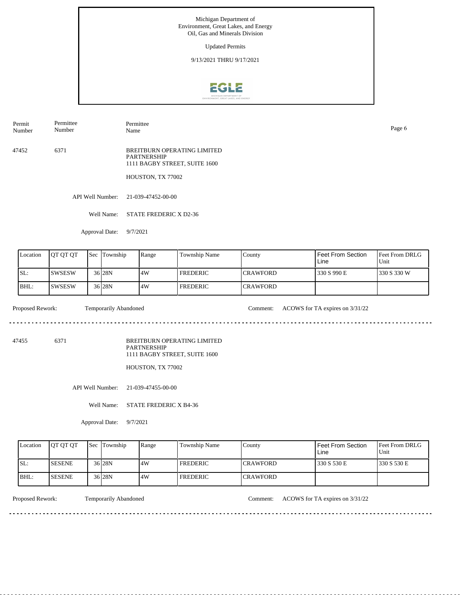Updated Permits

9/13/2021 THRU 9/17/2021



Permit Number Permittee Number

Permittee Name Page 6

47452 6371 BREITBURN OPERATING LIMITED PARTNERSHIP 1111 BAGBY STREET, SUITE 1600

HOUSTON, TX 77002

API Well Number: 21-039-47452-00-00

Well Name: STATE FREDERIC X D2-36

Approval Date: 9/7/2021

| Location | <b>OT OT OT</b> | <b>Sec</b> | Township            | Range | Township Name   | County           | Feet From Section<br>Line | <b>Feet From DRLG</b><br>Unit |
|----------|-----------------|------------|---------------------|-------|-----------------|------------------|---------------------------|-------------------------------|
| SL:      | <b>ISWSESW</b>  |            | 36 <sub>128</sub> N | .4W   | <b>FREDERIC</b> | <b>ICRAWFORD</b> | 330 S 990 E               | 1330 S 330 W                  |
| IBHL:    | ISWSESW         |            | 36 28N              | 4W    | <b>FREDERIC</b> | <b>ICRAWFORD</b> |                           |                               |

<u>. . . . . . . . . . . . . . . . . .</u>

Proposed Rework: Temporarily Abandoned Comment: ACOWS for TA expires on  $3/31/22$ 

. . . . . . . . . . . . . . . . . . .

47455 6371

BREITBURN OPERATING LIMITED PARTNERSHIP 1111 BAGBY STREET, SUITE 1600

HOUSTON, TX 77002

API Well Number: 21-039-47455-00-00

Well Name: STATE FREDERIC X B4-36

Approval Date: 9/7/2021

| Location | <b>IOT OT OT</b> | <b>Sec Township</b> | Range | <b>Township Name</b> | County           | Feet From Section<br>∟ine | <b>Feet From DRLG</b><br>Unit |
|----------|------------------|---------------------|-------|----------------------|------------------|---------------------------|-------------------------------|
| ISL:     | <b>ISESENE</b>   | 36 28N              | 4W    | <b>FREDERIC</b>      | <b>ICRAWFORD</b> | 330 S 530 E               | 1330 S 530 E                  |
| IBHL:    | <b>ISESENE</b>   | 36 28N              | 4W    | <b>FREDERIC</b>      | <b>ICRAWFORD</b> |                           |                               |

Proposed Rework: Temporarily Abandoned Comment: ACOWS for TA expires on  $3/31/22$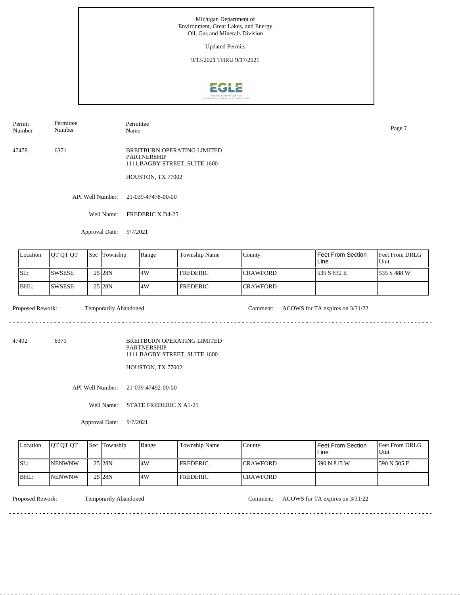Updated Permits

9/13/2021 THRU 9/17/2021



Permit Number Permittee Number Permittee Name Page 7

47478 6371 BREITBURN OPERATING LIMITED PARTNERSHIP 1111 BAGBY STREET, SUITE 1600

HOUSTON, TX 77002

API Well Number: 21-039-47478-00-00

Well Name: FREDERIC X D4-25

Approval Date: 9/7/2021

| Location | <b>IOT OT OT</b> | <b>Sec</b> | Township           | Range | Township Name   | County           | Feet From Section<br>Line | <b>Feet From DRLG</b><br>Unit |
|----------|------------------|------------|--------------------|-------|-----------------|------------------|---------------------------|-------------------------------|
| SL:      | <b>SWSESE</b>    |            | 25 <sub>128N</sub> | 4W    | <b>FREDERIC</b> | <b>ICRAWFORD</b> | 535 S 832 E               | 1535 S 488 W                  |
| IBHL:    | <b>SWSESE</b>    |            | 25 <sub>128N</sub> | 4W    | <b>FREDERIC</b> | <b>ICRAWFORD</b> |                           |                               |

Proposed Rework: Temporarily Abandoned Comment: ACOWS for TA expires on  $3/31/22$ 

. . . . . . . . . . . . . . . . . . . .

47492 6371

BREITBURN OPERATING LIMITED PARTNERSHIP 1111 BAGBY STREET, SUITE 1600

HOUSTON, TX 77002

API Well Number: 21-039-47492-00-00

Well Name: STATE FREDERIC X A1-25

Approval Date: 9/7/2021

| Location | <b>IOT OT OT</b> | <b>Sec Township</b> | Range | <b>Township Name</b> | County           | <b>Feet From Section</b><br>∟ine | <b>Feet From DRLG</b><br>Unit |
|----------|------------------|---------------------|-------|----------------------|------------------|----------------------------------|-------------------------------|
| ISL:     | <b>INENWNW</b>   | 25 28N              | .4W   | <b>FREDERIC</b>      | <b>ICRAWFORD</b> | 590 N 815 W                      | 1590 N 505 E                  |
| BHL:     | <b>INENWNW</b>   | 25 28N              | .4W   | <b>FREDERIC</b>      | <b>CRAWFORD</b>  |                                  |                               |

Proposed Rework: Temporarily Abandoned Comment: ACOWS for TA expires on  $3/31/22$